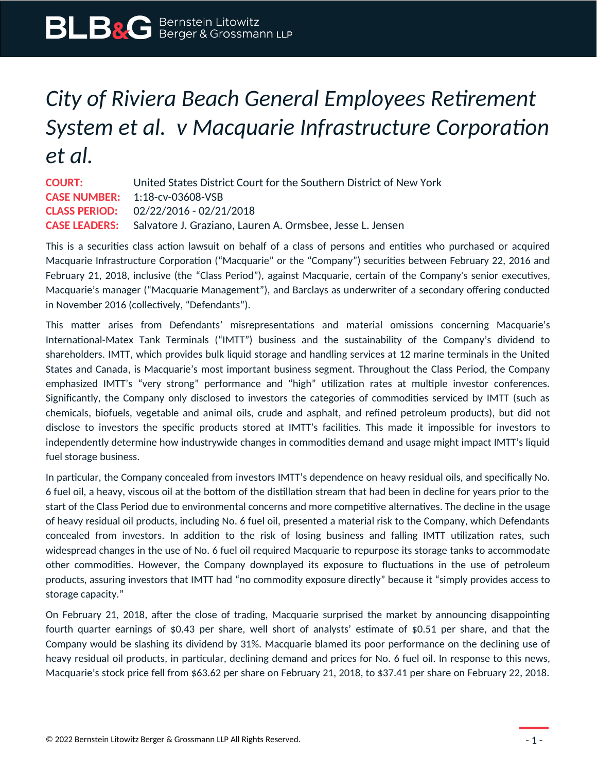## *City of Riviera Beach General Employees Retirement System et al. v Macquarie Infrastructure Corporation et al.*

**COURT:** United States District Court for the Southern District of New York **CASE NUMBER:** 1:18-cv-03608-VSB **CLASS PERIOD:** 02/22/2016 - 02/21/2018 **CASE LEADERS:** Salvatore J. Graziano, Lauren A. Ormsbee, Jesse L. Jensen

This is a securities class action lawsuit on behalf of a class of persons and entities who purchased or acquired Macquarie Infrastructure Corporation ("Macquarie" or the "Company") securities between February 22, 2016 and February 21, 2018, inclusive (the "Class Period"), against Macquarie, certain of the Company's senior executives, Macquarie's manager ("Macquarie Management"), and Barclays as underwriter of a secondary offering conducted in November 2016 (collectively, "Defendants").

This matter arises from Defendants' misrepresentations and material omissions concerning Macquarie's International-Matex Tank Terminals ("IMTT") business and the sustainability of the Company's dividend to shareholders. IMTT, which provides bulk liquid storage and handling services at 12 marine terminals in the United States and Canada, is Macquarie's most important business segment. Throughout the Class Period, the Company emphasized IMTT's "very strong" performance and "high" utilization rates at multiple investor conferences. Significantly, the Company only disclosed to investors the categories of commodities serviced by IMTT (such as chemicals, biofuels, vegetable and animal oils, crude and asphalt, and refined petroleum products), but did not disclose to investors the specific products stored at IMTT's facilities. This made it impossible for investors to independently determine how industrywide changes in commodities demand and usage might impact IMTT's liquid fuel storage business.

In particular, the Company concealed from investors IMTT's dependence on heavy residual oils, and specifically No. 6 fuel oil, a heavy, viscous oil at the bottom of the distillation stream that had been in decline for years prior to the start of the Class Period due to environmental concerns and more competitive alternatives. The decline in the usage of heavy residual oil products, including No. 6 fuel oil, presented a material risk to the Company, which Defendants concealed from investors. In addition to the risk of losing business and falling IMTT utilization rates, such widespread changes in the use of No. 6 fuel oil required Macquarie to repurpose its storage tanks to accommodate other commodities. However, the Company downplayed its exposure to fluctuations in the use of petroleum products, assuring investors that IMTT had "no commodity exposure directly" because it "simply provides access to storage capacity."

On February 21, 2018, after the close of trading, Macquarie surprised the market by announcing disappointing fourth quarter earnings of \$0.43 per share, well short of analysts' estimate of \$0.51 per share, and that the Company would be slashing its dividend by 31%. Macquarie blamed its poor performance on the declining use of heavy residual oil products, in particular, declining demand and prices for No. 6 fuel oil. In response to this news, Macquarie's stock price fell from \$63.62 per share on February 21, 2018, to \$37.41 per share on February 22, 2018.